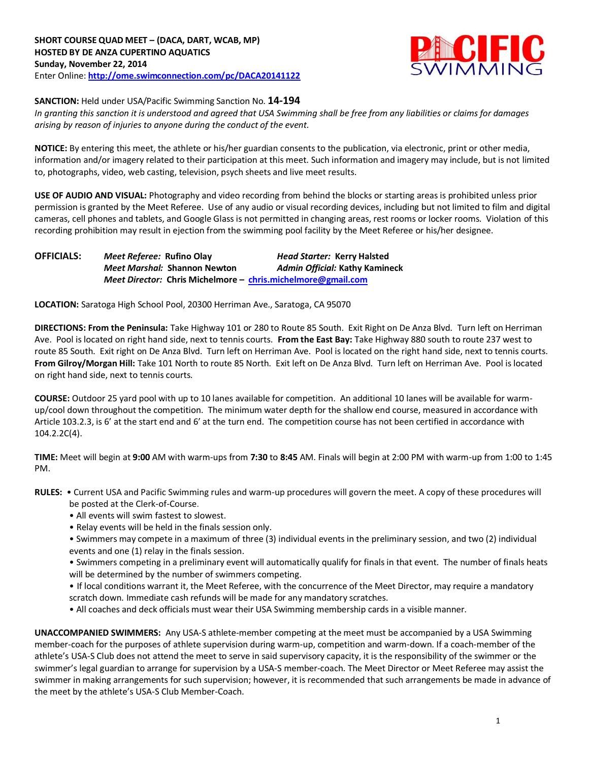

**SANCTION:** Held under USA/Pacific Swimming Sanction No. **14-194**

*In granting this sanction it is understood and agreed that USA Swimming shall be free from any liabilities or claims for damages arising by reason of injuries to anyone during the conduct of the event.*

**NOTICE:** By entering this meet, the athlete or his/her guardian consents to the publication, via electronic, print or other media, information and/or imagery related to their participation at this meet. Such information and imagery may include, but is not limited to, photographs, video, web casting, television, psych sheets and live meet results.

**USE OF AUDIO AND VISUAL:** Photography and video recording from behind the blocks or starting areas is prohibited unless prior permission is granted by the Meet Referee. Use of any audio or visual recording devices, including but not limited to film and digital cameras, cell phones and tablets, and Google Glass is not permitted in changing areas, rest rooms or locker rooms. Violation of this recording prohibition may result in ejection from the swimming pool facility by the Meet Referee or his/her designee.

**OFFICIALS:** *Meet Referee:* **Rufino Olay** *Head Starter:* **Kerry Halsted** *Meet Marshal:* **Shannon Newton** *Admin Official:* **Kathy Kamineck** *Meet Director:* **Chris Michelmore – [chris.michelmore@gmail.com](mailto:chris.michelmore@gmail.com)**

**LOCATION:** Saratoga High School Pool, 20300 Herriman Ave., Saratoga, CA 95070

**DIRECTIONS: From the Peninsula:** Take Highway 101 or 280 to Route 85 South. Exit Right on De Anza Blvd. Turn left on Herriman Ave. Pool is located on right hand side, next to tennis courts. **From the East Bay:** Take Highway 880 south to route 237 west to route 85 South. Exit right on De Anza Blvd. Turn left on Herriman Ave. Pool is located on the right hand side, next to tennis courts. **From Gilroy/Morgan Hill:** Take 101 North to route 85 North. Exit left on De Anza Blvd. Turn left on Herriman Ave. Pool is located on right hand side, next to tennis courts.

**COURSE:** Outdoor 25 yard pool with up to 10 lanes available for competition. An additional 10 lanes will be available for warmup/cool down throughout the competition. The minimum water depth for the shallow end course, measured in accordance with Article 103.2.3, is 6' at the start end and 6' at the turn end. The competition course has not been certified in accordance with 104.2.2C(4).

**TIME:** Meet will begin at **9:00** AM with warm-ups from **7:30** to **8:45** AM. Finals will begin at 2:00 PM with warm-up from 1:00 to 1:45 PM.

- **RULES:** Current USA and Pacific Swimming rules and warm-up procedures will govern the meet. A copy of these procedures will be posted at the Clerk-of-Course.
	- All events will swim fastest to slowest.
	- Relay events will be held in the finals session only.
	- Swimmers may compete in a maximum of three (3) individual events in the preliminary session, and two (2) individual events and one (1) relay in the finals session.
	- Swimmers competing in a preliminary event will automatically qualify for finals in that event. The number of finals heats will be determined by the number of swimmers competing.
	- If local conditions warrant it, the Meet Referee, with the concurrence of the Meet Director, may require a mandatory scratch down. Immediate cash refunds will be made for any mandatory scratches.
	- All coaches and deck officials must wear their USA Swimming membership cards in a visible manner.

**UNACCOMPANIED SWIMMERS:** Any USA-S athlete-member competing at the meet must be accompanied by a USA Swimming member-coach for the purposes of athlete supervision during warm-up, competition and warm-down. If a coach-member of the athlete's USA-S Club does not attend the meet to serve in said supervisory capacity, it is the responsibility of the swimmer or the swimmer's legal guardian to arrange for supervision by a USA-S member-coach. The Meet Director or Meet Referee may assist the swimmer in making arrangements for such supervision; however, it is recommended that such arrangements be made in advance of the meet by the athlete's USA-S Club Member-Coach.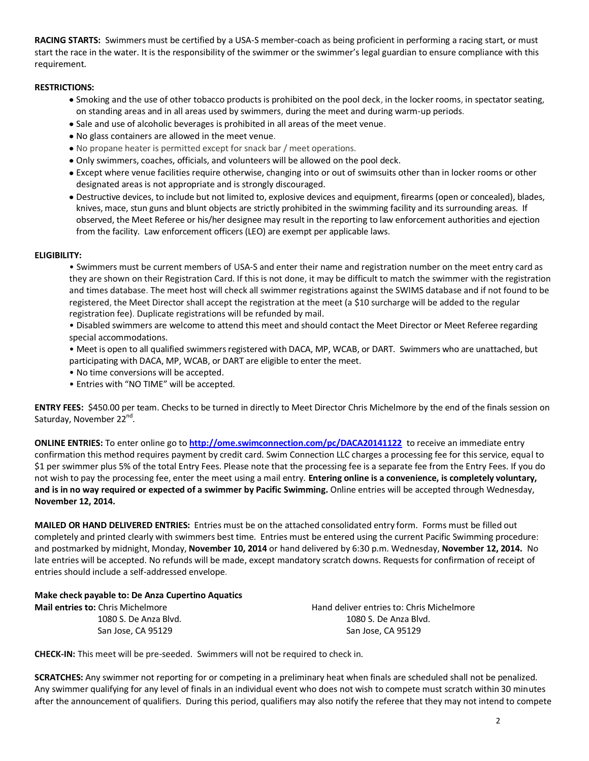**RACING STARTS:** Swimmers must be certified by a USA-S member-coach as being proficient in performing a racing start, or must start the race in the water. It is the responsibility of the swimmer or the swimmer's legal guardian to ensure compliance with this requirement.

## **RESTRICTIONS:**

- Smoking and the use of other tobacco products is prohibited on the pool deck, in the locker rooms, in spectator seating, on standing areas and in all areas used by swimmers, during the meet and during warm-up periods.
- Sale and use of alcoholic beverages is prohibited in all areas of the meet venue.
- No glass containers are allowed in the meet venue.
- No propane heater is permitted except for snack bar / meet operations.
- Only swimmers, coaches, officials, and volunteers will be allowed on the pool deck.
- Except where venue facilities require otherwise, changing into or out of swimsuits other than in locker rooms or other designated areas is not appropriate and is strongly discouraged.
- Destructive devices, to include but not limited to, explosive devices and equipment, firearms (open or concealed), blades, knives, mace, stun guns and blunt objects are strictly prohibited in the swimming facility and its surrounding areas. If observed, the Meet Referee or his/her designee may result in the reporting to law enforcement authorities and ejection from the facility. Law enforcement officers (LEO) are exempt per applicable laws.

## **ELIGIBILITY:**

• Swimmers must be current members of USA-S and enter their name and registration number on the meet entry card as they are shown on their Registration Card. If this is not done, it may be difficult to match the swimmer with the registration and times database. The meet host will check all swimmer registrations against the SWIMS database and if not found to be registered, the Meet Director shall accept the registration at the meet (a \$10 surcharge will be added to the regular registration fee). Duplicate registrations will be refunded by mail.

• Disabled swimmers are welcome to attend this meet and should contact the Meet Director or Meet Referee regarding special accommodations.

• Meet is open to all qualified swimmers registered with DACA, MP, WCAB, or DART. Swimmers who are unattached, but participating with DACA, MP, WCAB, or DART are eligible to enter the meet.

- No time conversions will be accepted.
- Entries with "NO TIME" will be accepted.

**ENTRY FEES:** \$450.00 per team. Checks to be turned in directly to Meet Director Chris Michelmore by the end of the finals session on Saturday, November 22<sup>nd</sup>.

**ONLINE ENTRIES:** To enter online go to **<http://ome.swimconnection.com/pc/DACA20141122>**to receive an immediate entry confirmation this method requires payment by credit card. Swim Connection LLC charges a processing fee for this service, equal to \$1 per swimmer plus 5% of the total Entry Fees. Please note that the processing fee is a separate fee from the Entry Fees. If you do not wish to pay the processing fee, enter the meet using a mail entry. **Entering online is a convenience, is completely voluntary, and is in no way required or expected of a swimmer by Pacific Swimming.** Online entries will be accepted through Wednesday, **November 12, 2014.**

**MAILED OR HAND DELIVERED ENTRIES:** Entries must be on the attached consolidated entry form. Forms must be filled out completely and printed clearly with swimmers best time. Entries must be entered using the current Pacific Swimming procedure: and postmarked by midnight, Monday, **November 10, 2014** or hand delivered by 6:30 p.m. Wednesday, **November 12, 2014.** No late entries will be accepted. No refunds will be made, except mandatory scratch downs. Requests for confirmation of receipt of entries should include a self-addressed envelope.

**Make check payable to: De Anza Cupertino Aquatics Mail entries to:** Chris Michelmore **Hand deliver entries to: Chris Michelmore** Hand deliver entries to: Chris Michelmore 1080 S. De Anza Blvd. 1080 S. De Anza Blvd.

San Jose, CA 95129 San Jose, CA 95129

**CHECK-IN:** This meet will be pre-seeded. Swimmers will not be required to check in.

**SCRATCHES:** Any swimmer not reporting for or competing in a preliminary heat when finals are scheduled shall not be penalized. Any swimmer qualifying for any level of finals in an individual event who does not wish to compete must scratch within 30 minutes after the announcement of qualifiers. During this period, qualifiers may also notify the referee that they may not intend to compete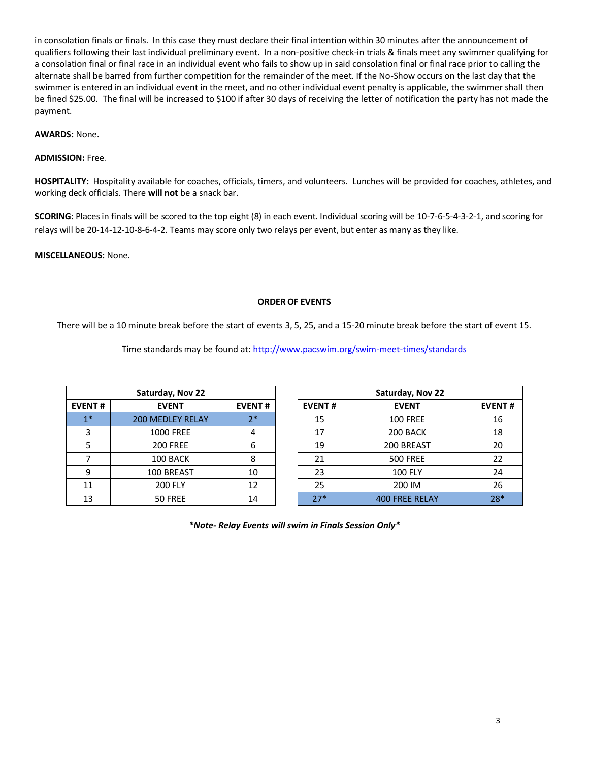in consolation finals or finals. In this case they must declare their final intention within 30 minutes after the announcement of qualifiers following their last individual preliminary event. In a non-positive check-in trials & finals meet any swimmer qualifying for a consolation final or final race in an individual event who fails to show up in said consolation final or final race prior to calling the alternate shall be barred from further competition for the remainder of the meet. If the No-Show occurs on the last day that the swimmer is entered in an individual event in the meet, and no other individual event penalty is applicable, the swimmer shall then be fined \$25.00. The final will be increased to \$100 if after 30 days of receiving the letter of notification the party has not made the payment.

**AWARDS:** None.

## **ADMISSION:** Free.

**HOSPITALITY:** Hospitality available for coaches, officials, timers, and volunteers. Lunches will be provided for coaches, athletes, and working deck officials. There **will not** be a snack bar.

**SCORING:** Places in finals will be scored to the top eight (8) in each event. Individual scoring will be 10-7-6-5-4-3-2-1, and scoring for relays will be 20-14-12-10-8-6-4-2. Teams may score only two relays per event, but enter as many as they like.

**MISCELLANEOUS:** None.

## **ORDER OF EVENTS**

There will be a 10 minute break before the start of events 3, 5, 25, and a 15-20 minute break before the start of event 15.

Time standards may be found at:<http://www.pacswim.org/swim-meet-times/standards>

| Saturday, Nov 22 |                         |               |  |  |  |  |  |  |  |
|------------------|-------------------------|---------------|--|--|--|--|--|--|--|
| <b>EVENT#</b>    | <b>EVENT</b>            | <b>EVENT#</b> |  |  |  |  |  |  |  |
| $1*$             | <b>200 MEDLEY RELAY</b> | $2*$          |  |  |  |  |  |  |  |
| 3                | <b>1000 FREE</b>        |               |  |  |  |  |  |  |  |
| 5                | <b>200 FREE</b>         | 6             |  |  |  |  |  |  |  |
| 7                | 100 BACK                | 8             |  |  |  |  |  |  |  |
| 9                | 100 BREAST              | 10            |  |  |  |  |  |  |  |
| 11               | <b>200 FLY</b>          | 12            |  |  |  |  |  |  |  |
| 13               | 50 FREE                 | 14            |  |  |  |  |  |  |  |

|               | Saturday, Nov 22        |               | Saturday, Nov 22 |                       |               |  |  |
|---------------|-------------------------|---------------|------------------|-----------------------|---------------|--|--|
| <b>EVENT#</b> | <b>EVENT</b>            | <b>EVENT#</b> | <b>EVENT#</b>    | <b>EVENT</b>          | <b>EVENT#</b> |  |  |
| $1*$          | <b>200 MEDLEY RELAY</b> | 7*            | 15               | <b>100 FREE</b>       | 16            |  |  |
|               | <b>1000 FREE</b>        | 4             | 17               | 200 BACK              | 18            |  |  |
|               | <b>200 FREE</b>         | 6             | 19               | 200 BREAST            | 20            |  |  |
|               | 100 BACK                | 8             | 21               | <b>500 FREE</b>       | 22            |  |  |
| 9             | 100 BREAST              | 10            | 23               | <b>100 FLY</b>        | 24            |  |  |
| 11            | <b>200 FLY</b>          | 12            | 25               | 200 IM                | 26            |  |  |
| 13            | 50 FREE                 | 14            | $27*$            | <b>400 FREE RELAY</b> | $28*$         |  |  |

*\*Note- Relay Events will swim in Finals Session Only\**